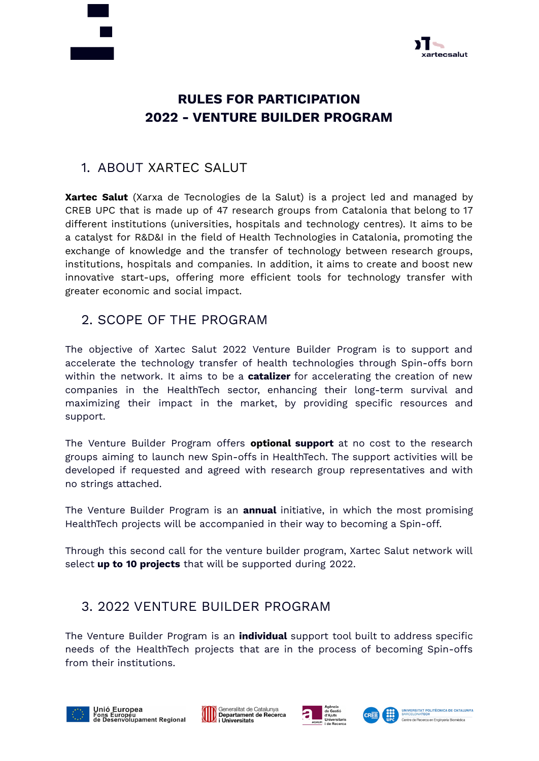



# **RULES FOR PARTICIPATION 2022 - VENTURE BUILDER PROGRAM**

#### 1. ABOUT XARTEC SALUT

**Xartec Salut** (Xarxa de Tecnologies de la Salut) is a project led and managed by CREB UPC that is made up of 47 research groups from Catalonia that belong to 17 different institutions (universities, hospitals and technology centres). It aims to be a catalyst for R&D&I in the field of Health Technologies in Catalonia, promoting the exchange of knowledge and the transfer of technology between research groups, institutions, hospitals and companies. In addition, it aims to create and boost new innovative start-ups, offering more efficient tools for technology transfer with greater economic and social impact.

### 2. SCOPE OF THE PROGRAM

The objective of Xartec Salut 2022 Venture Builder Program is to support and accelerate the technology transfer of health technologies through Spin-offs born within the network. It aims to be a **catalizer** for accelerating the creation of new companies in the HealthTech sector, enhancing their long-term survival and maximizing their impact in the market, by providing specific resources and support.

The Venture Builder Program offers **optional support** at no cost to the research groups aiming to launch new Spin-offs in HealthTech. The support activities will be developed if requested and agreed with research group representatives and with no strings attached.

The Venture Builder Program is an **annual** initiative, in which the most promising HealthTech projects will be accompanied in their way to becoming a Spin-off.

Through this second call for the venture builder program, Xartec Salut network will select **up to 10 projects** that will be supported during 2022.

## 3. 2022 VENTURE BUILDER PROGRAM

The Venture Builder Program is an **individual** support tool built to address specific needs of the HealthTech projects that are in the process of becoming Spin-offs from their institutions.







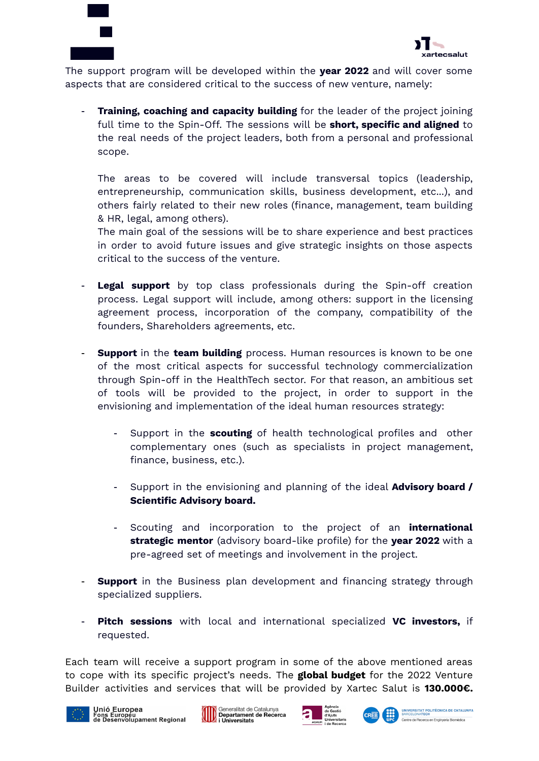



The support program will be developed within the **year 2022** and will cover some aspects that are considered critical to the success of new venture, namely:

- **Training, coaching and capacity building** for the leader of the project joining full time to the Spin-Off. The sessions will be **short, specific and aligned** to the real needs of the project leaders, both from a personal and professional scope.

The areas to be covered will include transversal topics (leadership, entrepreneurship, communication skills, business development, etc...), and others fairly related to their new roles (finance, management, team building & HR, legal, among others).

The main goal of the sessions will be to share experience and best practices in order to avoid future issues and give strategic insights on those aspects critical to the success of the venture.

- Legal support by top class professionals during the Spin-off creation process. Legal support will include, among others: support in the licensing agreement process, incorporation of the company, compatibility of the founders, Shareholders agreements, etc.
- **Support** in the **team building** process. Human resources is known to be one of the most critical aspects for successful technology commercialization through Spin-off in the HealthTech sector. For that reason, an ambitious set of tools will be provided to the project, in order to support in the envisioning and implementation of the ideal human resources strategy:
	- Support in the **scouting** of health technological profiles and other complementary ones (such as specialists in project management, finance, business, etc.).
	- Support in the envisioning and planning of the ideal **Advisory board / Scientific Advisory board.**
	- Scouting and incorporation to the project of an **international strategic mentor** (advisory board-like profile) for the **year 2022** with a pre-agreed set of meetings and involvement in the project.
- **Support** in the Business plan development and financing strategy through specialized suppliers.
- **Pitch sessions** with local and international specialized **VC investors,** if requested.

Each team will receive a support program in some of the above mentioned areas to cope with its specific project's needs. The **global budget** for the 2022 Venture Builder activities and services that will be provided by Xartec Salut is **130.000€.**







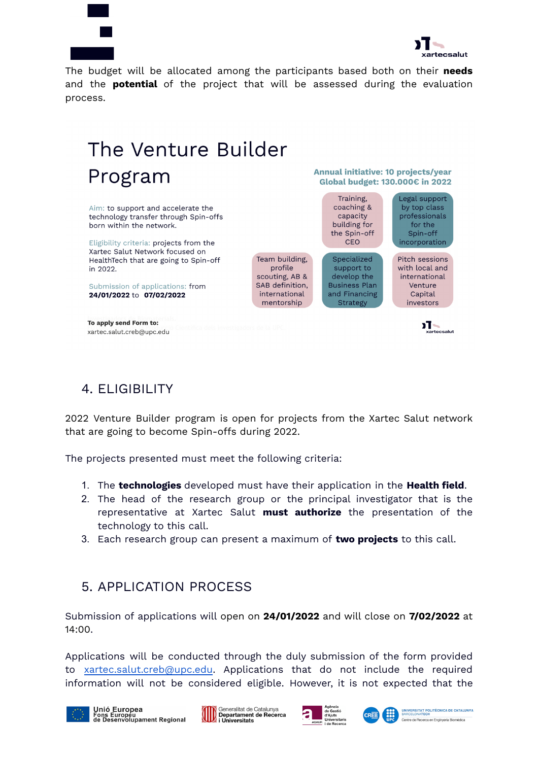



The budget will be allocated among the participants based both on their **needs** and the **potential** of the project that will be assessed during the evaluation process.

#### The Venture Builder Program Aim: to support and accelerate the technology transfer through Spin-offs born within the network. CEO Eligibility criteria: projects from the Xartec Salut Network focused on

HealthTech that are going to Spin-off in 2022.

Submission of applications: from 24/01/2022 to 07/02/2022

To apply send Form to: xartec.salut.creb@upc.edu Annual initiative: 10 projects/year Global budget: 130.000€ in 2022



 $\sum_{\text{xartecsalut}}$ 

## 4. ELIGIBILITY

2022 Venture Builder program is open for projects from the Xartec Salut network that are going to become Spin-offs during 2022.

The projects presented must meet the following criteria:

- 1. The **technologies** developed must have their application in the **Health field**.
- 2. The head of the research group or the principal investigator that is the representative at Xartec Salut **must authorize** the presentation of the technology to this call.
- 3. Each research group can present a maximum of **two projects** to this call.

## 5. APPLICATION PROCESS

Submission of applications will open on **24/01/2022** and will close on **7/02/2022** at 14:00.

Applications will be conducted through the duly submission of the form provided to [xartec.salut.creb@upc.edu](mailto:xartec.salut.creb@upc.edu). Applications that do not include the required information will not be considered eligible. However, it is not expected that the







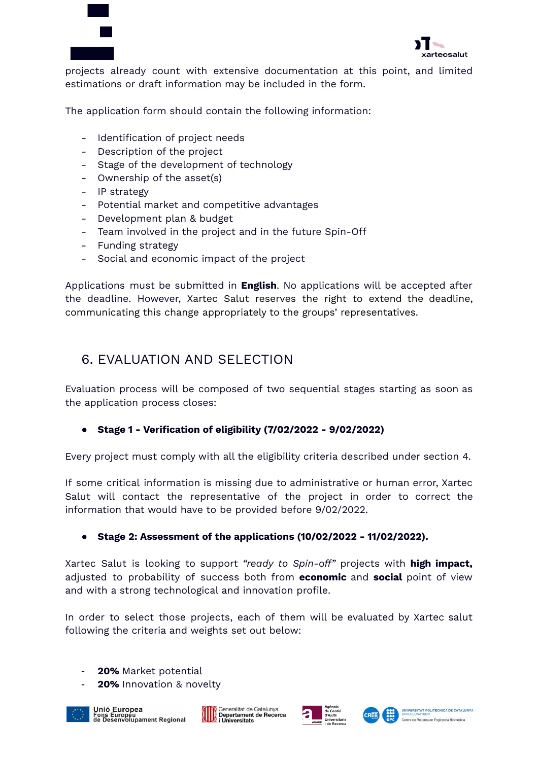



projects already count with extensive documentation at this point, and limited estimations or draft information may be included in the form.

The application form should contain the following information:

- Identification of project needs
- Description of the project
- Stage of the development of technology
- Ownership of the asset(s)
- IP strategy
- Potential market and competitive advantages
- Development plan & budget
- Team involved in the project and in the future Spin-Off
- Funding strategy
- Social and economic impact of the project

Applications must be submitted in **English**. No applications will be accepted after the deadline. However, Xartec Salut reserves the right to extend the deadline, communicating this change appropriately to the groups' representatives.

#### 6. EVALUATION AND SELECTION

Evaluation process will be composed of two sequential stages starting as soon as the application process closes:

#### **● Stage 1 - Verification of eligibility (7/02/2022 - 9/02/2022)**

Every project must comply with all the eligibility criteria described under section 4.

If some critical information is missing due to administrative or human error, Xartec Salut will contact the representative of the project in order to correct the information that would have to be provided before 9/02/2022.

#### **● Stage 2: Assessment of the applications (10/02/2022 - 11/02/2022).**

Xartec Salut is looking to support *"ready to Spin-off"* projects with **high impact,** adjusted to probability of success both from **economic** and **social** point of view and with a strong technological and innovation profile.

In order to select those projects, each of them will be evaluated by Xartec salut following the criteria and weights set out below:

- **20%** Market potential
- **20%** Innovation & novelty









Centre de Recerca en Enc